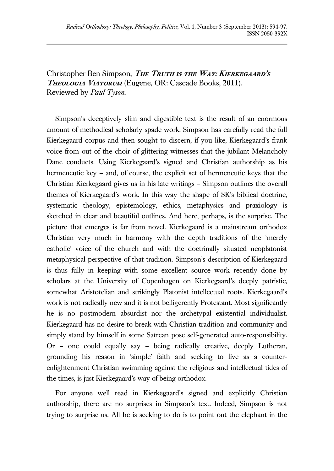Christopher Ben Simpson, *THE TRUTH IS THE WAY: KIERKEGAARD'S* **Theologia Viatorum** (Eugene, OR: Cascade Books, 2011). Reviewed by *Paul Tyson*.

Simpson's deceptively slim and digestible text is the result of an enormous amount of methodical scholarly spade work. Simpson has carefully read the full Kierkegaard corpus and then sought to discern, if you like, Kierkegaard's frank voice from out of the choir of glittering witnesses that the jubilant Melancholy Dane conducts. Using Kierkegaard's signed and Christian authorship as his hermeneutic key – and, of course, the explicit set of hermeneutic keys that the Christian Kierkegaard gives us in his late writings – Simpson outlines the overall themes of Kierkegaard's work. In this way the shape of SK's biblical doctrine, systematic theology, epistemology, ethics, metaphysics and praxiology is sketched in clear and beautiful outlines. And here, perhaps, is the surprise. The picture that emerges is far from novel. Kierkegaard is a mainstream orthodox Christian very much in harmony with the depth traditions of the 'merely catholic' voice of the church and with the doctrinally situated neoplatonist metaphysical perspective of that tradition. Simpson's description of Kierkegaard is thus fully in keeping with some excellent source work recently done by scholars at the University of Copenhagen on Kierkegaard's deeply patristic, somewhat Aristotelian and strikingly Platonist intellectual roots. Kierkegaard's work is not radically new and it is not belligerently Protestant. Most significantly he is no postmodern absurdist nor the archetypal existential individualist. Kierkegaard has no desire to break with Christian tradition and community and simply stand by himself in some Satrean pose self-generated auto-responsibility. Or – one could equally say – being radically creative, deeply Lutheran, grounding his reason in 'simple' faith and seeking to live as a counterenlightenment Christian swimming against the religious and intellectual tides of the times, is just Kierkegaard's way of being orthodox.

For anyone well read in Kierkegaard's signed and explicitly Christian authorship, there are no surprises in Simpson's text. Indeed, Simpson is not trying to surprise us. All he is seeking to do is to point out the elephant in the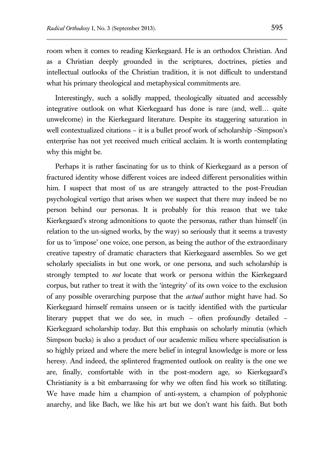room when it comes to reading Kierkegaard. He is an orthodox Christian. And as a Christian deeply grounded in the scriptures, doctrines, pieties and intellectual outlooks of the Christian tradition, it is not difficult to understand what his primary theological and metaphysical commitments are.

Interestingly, such a solidly mapped, theologically situated and accessibly integrative outlook on what Kierkegaard has done is rare (and, well… quite unwelcome) in the Kierkegaard literature. Despite its staggering saturation in well contextualized citations – it is a bullet proof work of scholarship –Simpson's enterprise has not yet received much critical acclaim. It is worth contemplating why this might be.

Perhaps it is rather fascinating for us to think of Kierkegaard as a person of fractured identity whose different voices are indeed different personalities within him. I suspect that most of us are strangely attracted to the post-Freudian psychological vertigo that arises when we suspect that there may indeed be no person behind our personas. It is probably for this reason that we take Kierkegaard's strong admonitions to quote the personas, rather than himself (in relation to the un-signed works, by the way) so seriously that it seems a travesty for us to 'impose' one voice, one person, as being the author of the extraordinary creative tapestry of dramatic characters that Kierkegaard assembles. So we get scholarly specialists in but one work, or one persona, and such scholarship is strongly tempted to *not* locate that work or persona within the Kierkegaard corpus, but rather to treat it with the 'integrity' of its own voice to the exclusion of any possible overarching purpose that the *actual* author might have had. So Kierkegaard himself remains unseen or is tacitly identified with the particular literary puppet that we do see, in much – often profoundly detailed – Kierkegaard scholarship today. But this emphasis on scholarly minutia (which Simpson bucks) is also a product of our academic milieu where specialisation is so highly prized and where the mere belief in integral knowledge is more or less heresy. And indeed, the splintered fragmented outlook on reality is the one we are, finally, comfortable with in the post-modern age, so Kierkegaard's Christianity is a bit embarrassing for why we often find his work so titillating. We have made him a champion of anti-system, a champion of polyphonic anarchy, and like Bach, we like his art but we don't want his faith. But both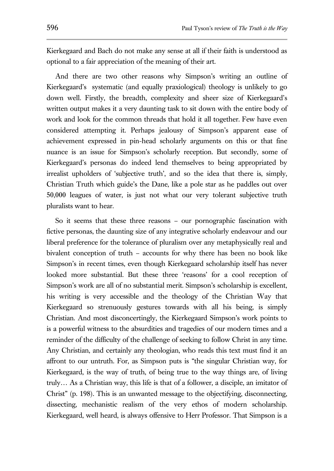Kierkegaard and Bach do not make any sense at all if their faith is understood as optional to a fair appreciation of the meaning of their art.

And there are two other reasons why Simpson's writing an outline of Kierkegaard's systematic (and equally praxiological) theology is unlikely to go down well. Firstly, the breadth, complexity and sheer size of Kierkegaard's written output makes it a very daunting task to sit down with the entire body of work and look for the common threads that hold it all together. Few have even considered attempting it. Perhaps jealousy of Simpson's apparent ease of achievement expressed in pin-head scholarly arguments on this or that fine nuance is an issue for Simpson's scholarly reception. But secondly, some of Kierkegaard's personas do indeed lend themselves to being appropriated by irrealist upholders of 'subjective truth', and so the idea that there is, simply, Christian Truth which guide's the Dane, like a pole star as he paddles out over 50,000 leagues of water, is just not what our very tolerant subjective truth pluralists want to hear.

So it seems that these three reasons – our pornographic fascination with fictive personas, the daunting size of any integrative scholarly endeavour and our liberal preference for the tolerance of pluralism over any metaphysically real and bivalent conception of truth – accounts for why there has been no book like Simpson's in recent times, even though Kierkegaard scholarship itself has never looked more substantial. But these three 'reasons' for a cool reception of Simpson's work are all of no substantial merit. Simpson's scholarship is excellent, his writing is very accessible and the theology of the Christian Way that Kierkegaard so strenuously gestures towards with all his being, is simply Christian. And most disconcertingly, the Kierkegaard Simpson's work points to is a powerful witness to the absurdities and tragedies of our modern times and a reminder of the difficulty of the challenge of seeking to follow Christ in any time. Any Christian, and certainly any theologian, who reads this text must find it an affront to our untruth. For, as Simpson puts is "the singular Christian way, for Kierkegaard, is the way of truth, of being true to the way things are, of living truly… As a Christian way, this life is that of a follower, a disciple, an imitator of Christ" (p. 198). This is an unwanted message to the objectifying, disconnecting, dissecting, mechanistic realism of the very ethos of modern scholarship. Kierkegaard, well heard, is always offensive to Herr Professor. That Simpson is a